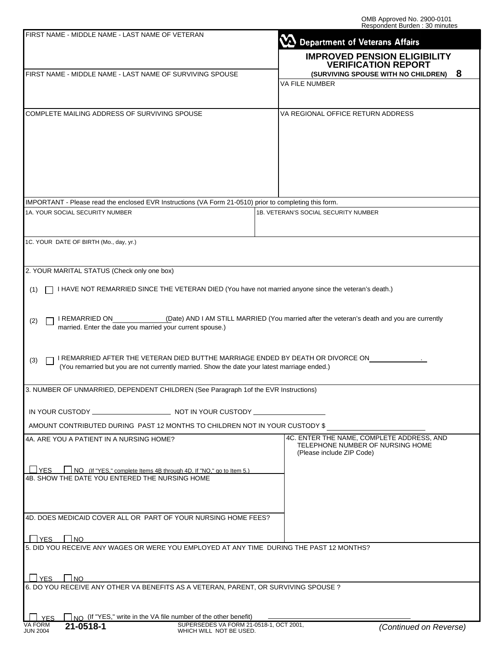| FIRST NAME - MIDDLE NAME - LAST NAME OF VETERAN                                                                                                                                        | Department of Veterans Affairs                                                                             |
|----------------------------------------------------------------------------------------------------------------------------------------------------------------------------------------|------------------------------------------------------------------------------------------------------------|
|                                                                                                                                                                                        | <b>IMPROVED PENSION ELIGIBILITY</b><br><b>VERIFICATION REPORT</b>                                          |
| FIRST NAME - MIDDLE NAME - LAST NAME OF SURVIVING SPOUSE                                                                                                                               | (SURVIVING SPOUSE WITH NO CHILDREN) 8<br>VA FILE NUMBER                                                    |
|                                                                                                                                                                                        |                                                                                                            |
| COMPLETE MAILING ADDRESS OF SURVIVING SPOUSE                                                                                                                                           | VA REGIONAL OFFICE RETURN ADDRESS                                                                          |
|                                                                                                                                                                                        |                                                                                                            |
| IMPORTANT - Please read the enclosed EVR Instructions (VA Form 21-0510) prior to completing this form.                                                                                 |                                                                                                            |
| 1A. YOUR SOCIAL SECURITY NUMBER                                                                                                                                                        | 1B. VETERAN'S SOCIAL SECURITY NUMBER                                                                       |
| 1C. YOUR DATE OF BIRTH (Mo., day, yr.)                                                                                                                                                 |                                                                                                            |
| 2. YOUR MARITAL STATUS (Check only one box)                                                                                                                                            |                                                                                                            |
| I HAVE NOT REMARRIED SINCE THE VETERAN DIED (You have not married anyone since the veteran's death.)<br>(1)                                                                            |                                                                                                            |
| I REMARRIED ON<br>(2)<br>married. Enter the date you married your current spouse.)                                                                                                     | (Date) AND I AM STILL MARRIED (You married after the veteran's death and you are currently                 |
| I REMARRIED AFTER THE VETERAN DIED BUTTHE MARRIAGE ENDED BY DEATH OR DIVORCE ON<br>(3)<br>(You remarried but you are not currently married. Show the date your latest marriage ended.) |                                                                                                            |
| 3. NUMBER OF UNMARRIED, DEPENDENT CHILDREN (See Paragraph 1of the EVR Instructions)                                                                                                    |                                                                                                            |
|                                                                                                                                                                                        |                                                                                                            |
| AMOUNT CONTRIBUTED DURING PAST 12 MONTHS TO CHILDREN NOT IN YOUR CUSTODY \$                                                                                                            |                                                                                                            |
| 4A. ARE YOU A PATIENT IN A NURSING HOME?                                                                                                                                               | 4C. ENTER THE NAME, COMPLETE ADDRESS, AND<br>TELEPHONE NUMBER OF NURSING HOME<br>(Please include ZIP Code) |
| NO (If "YES," complete Items 4B through 4D. If "NO," go to Item 5.)<br><b>TES</b><br>4B. SHOW THE DATE YOU ENTERED THE NURSING HOME                                                    |                                                                                                            |
| 4D. DOES MEDICAID COVER ALL OR PART OF YOUR NURSING HOME FEES?                                                                                                                         |                                                                                                            |
| <b>LIYES</b> I INO                                                                                                                                                                     |                                                                                                            |
| 5. DID YOU RECEIVE ANY WAGES OR WERE YOU EMPLOYED AT ANY TIME DURING THE PAST 12 MONTHS?                                                                                               |                                                                                                            |
| $\Box$ YES $\Box$ NO<br>6. DO YOU RECEIVE ANY OTHER VA BENEFITS AS A VETERAN, PARENT, OR SURVIVING SPOUSE ?                                                                            |                                                                                                            |
|                                                                                                                                                                                        |                                                                                                            |
| $\Box$ NO (If "YES," write in the VA file number of the other benefit)<br>VA FORM<br>21-0518-1                                                                                         |                                                                                                            |
| SUPERSEDES VA FORM 21-0518-1, OCT 2001,<br>WHICH WILL NOT BE LISED<br><b>ILINI 2004</b>                                                                                                | (Continued on Reverse)                                                                                     |